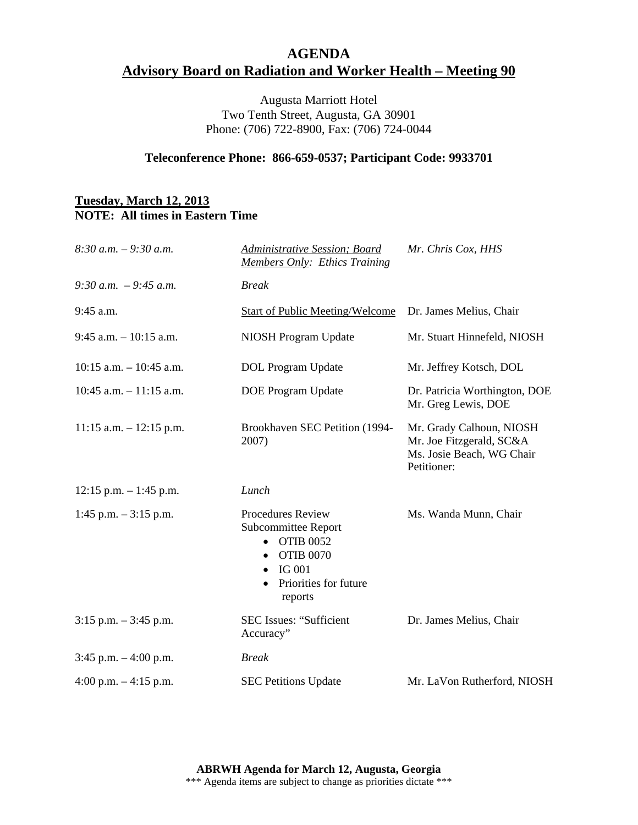## **AGENDA Advisory Board on Radiation and Worker Health – Meeting 90**

Augusta Marriott Hotel Two Tenth Street, Augusta, GA 30901 Phone: (706) 722-8900, Fax: (706) 724-0044

### **Teleconference Phone: 866-659-0537; Participant Code: 9933701**

### **Tuesday, March 12, 2013 NOTE: All times in Eastern Time**

| $8:30$ a.m. $-9:30$ a.m.   | Administrative Session; Board<br><b>Members Only: Ethics Training</b>                                                                                                     | Mr. Chris Cox, HHS                                                                               |
|----------------------------|---------------------------------------------------------------------------------------------------------------------------------------------------------------------------|--------------------------------------------------------------------------------------------------|
| 9:30 a.m. $-9:45$ a.m.     | <b>Break</b>                                                                                                                                                              |                                                                                                  |
| $9:45$ a.m.                | <b>Start of Public Meeting/Welcome</b>                                                                                                                                    | Dr. James Melius, Chair                                                                          |
| $9:45$ a.m. $-10:15$ a.m.  | NIOSH Program Update                                                                                                                                                      | Mr. Stuart Hinnefeld, NIOSH                                                                      |
| $10:15$ a.m. $-10:45$ a.m. | DOL Program Update                                                                                                                                                        | Mr. Jeffrey Kotsch, DOL                                                                          |
| $10:45$ a.m. $-11:15$ a.m. | <b>DOE Program Update</b>                                                                                                                                                 | Dr. Patricia Worthington, DOE<br>Mr. Greg Lewis, DOE                                             |
| $11:15$ a.m. $-12:15$ p.m. | Brookhaven SEC Petition (1994-<br>2007)                                                                                                                                   | Mr. Grady Calhoun, NIOSH<br>Mr. Joe Fitzgerald, SC&A<br>Ms. Josie Beach, WG Chair<br>Petitioner: |
| $12:15$ p.m. $-1:45$ p.m.  | Lunch                                                                                                                                                                     |                                                                                                  |
| 1:45 p.m. $-3:15$ p.m.     | <b>Procedures Review</b><br>Subcommittee Report<br><b>OTIB 0052</b><br>$\bullet$<br><b>OTIB 0070</b><br>$\bullet$<br>$\bullet$ IG 001<br>Priorities for future<br>reports | Ms. Wanda Munn, Chair                                                                            |
| $3:15$ p.m. $-3:45$ p.m.   | <b>SEC Issues: "Sufficient</b><br>Accuracy"                                                                                                                               | Dr. James Melius, Chair                                                                          |
| $3:45$ p.m. $-4:00$ p.m.   | <b>Break</b>                                                                                                                                                              |                                                                                                  |
| 4:00 p.m. $-4:15$ p.m.     | <b>SEC Petitions Update</b>                                                                                                                                               | Mr. LaVon Rutherford, NIOSH                                                                      |